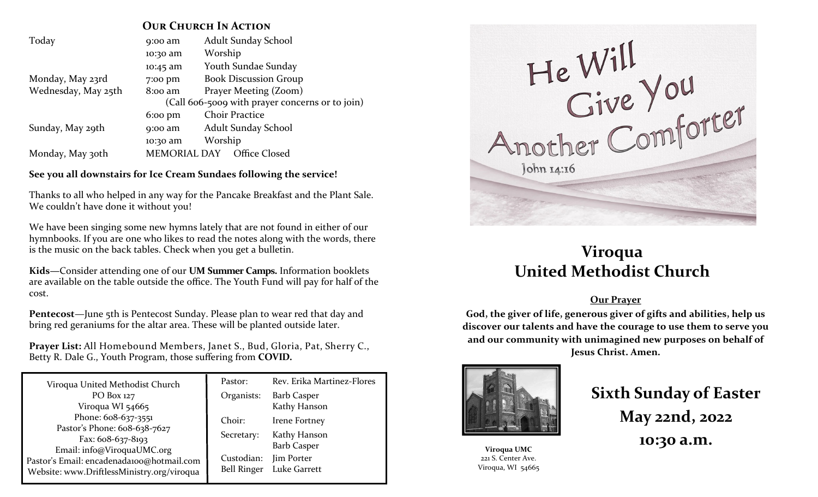### **OUR CHURCH IN ACTION**

| Today               | 9:00 am                                         | <b>Adult Sunday School</b>   |  |  |  |
|---------------------|-------------------------------------------------|------------------------------|--|--|--|
|                     | 10:30 am                                        | Worship                      |  |  |  |
|                     | 10:45 am                                        | <b>Youth Sundae Sunday</b>   |  |  |  |
| Monday, May 23rd    | 7:00 pm                                         | <b>Book Discussion Group</b> |  |  |  |
| Wednesday, May 25th | $8:00$ am                                       | Prayer Meeting (Zoom)        |  |  |  |
|                     | (Call 606-5009 with prayer concerns or to join) |                              |  |  |  |
|                     | $6:00 \text{ pm}$                               | <b>Choir Practice</b>        |  |  |  |
| Sunday, May 29th    | $9:00$ am                                       | Adult Sunday School          |  |  |  |
|                     | 10:30 am                                        | Worship                      |  |  |  |
| Monday, May 30th    | <b>MEMORIAL DAY</b>                             | Office Closed                |  |  |  |

**See you all downstairs for Ice Cream Sundaes following the service!**

Thanks to all who helped in any way for the Pancake Breakfast and the Plant Sale. We couldn't have done it without you!

We have been singing some new hymns lately that are not found in either of our hymnbooks. If you are one who likes to read the notes along with the words, there is the music on the back tables. Check when you get a bulletin.

**Kids—**Consider attending one of our **UM Summer Camps.** Information booklets are available on the table outside the office. The Youth Fund will pay for half of the cost.

**Pentecost**—June 5th is Pentecost Sunday. Please plan to wear red that day and bring red geraniums for the altar area. These will be planted outside later.

**Prayer List:** All Homebound Members, Janet S., Bud, Gloria, Pat, Sherry C., Betty R. Dale G., Youth Program, those suffering from **COVID.**

| Viroqua United Methodist Church                                                                                       | Pastor:    | Rev. Erika Martinez-Flores       |  |
|-----------------------------------------------------------------------------------------------------------------------|------------|----------------------------------|--|
| PO Box 127                                                                                                            | Organists: | <b>Barb Casper</b>               |  |
| Viroqua WI 54665                                                                                                      |            | Kathy Hanson                     |  |
| Phone: 608-637-3551                                                                                                   | Choir:     | Irene Fortney                    |  |
| Pastor's Phone: 608-638-7627                                                                                          | Secretary: | Kathy Hanson                     |  |
| Fax: 608-637-8193                                                                                                     |            |                                  |  |
| Email: info@ViroquaUMC.org<br>Pastor's Email: encadenada100@hotmail.com<br>Website: www.DriftlessMinistry.org/viroqua |            |                                  |  |
|                                                                                                                       |            | Bell Ringer Luke Garrett         |  |
|                                                                                                                       | Custodian: | <b>Barb Casper</b><br>Jim Porter |  |



## **Viroqua United Methodist Church**

### **Our Prayer**

**God, the giver of life, generous giver of gifts and abilities, help us discover our talents and have the courage to use them to serve you and our community with unimagined new purposes on behalf of Jesus Christ. Amen.**



**Viroqua UMC** 221 S. Center Ave. Viroqua, WI 54665

# **Sixth Sunday of Easter May 22nd, 2022 10:30 a.m.**